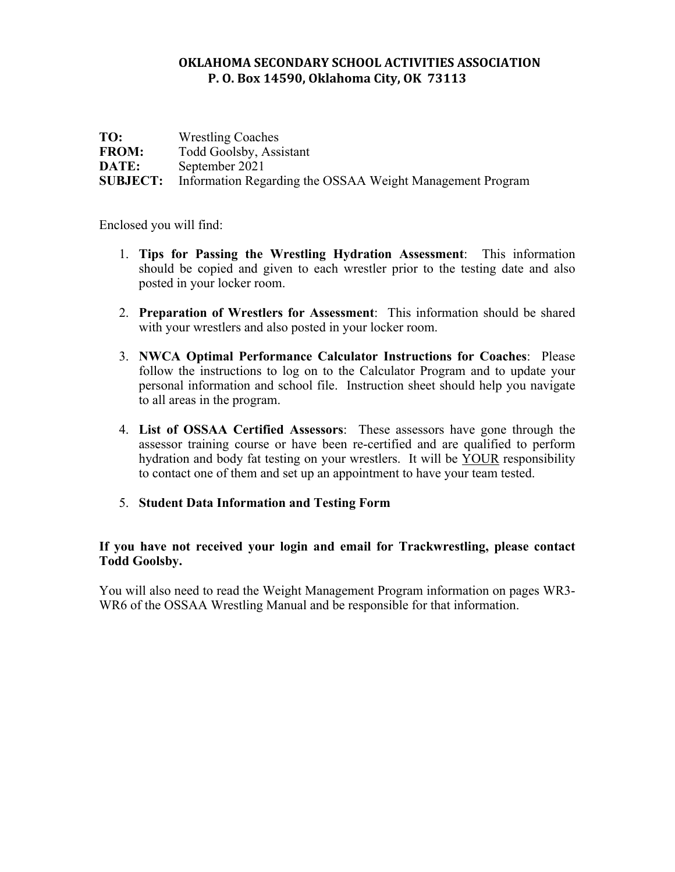# **OKLAHOMA SECONDARY SCHOOL ACTIVITIES ASSOCIATION P. O. Box 14590, Oklahoma City, OK 73113**

| TO:             | <b>Wrestling Coaches</b>                                  |
|-----------------|-----------------------------------------------------------|
| <b>FROM:</b>    | Todd Goolsby, Assistant                                   |
| <b>DATE:</b>    | September 2021                                            |
| <b>SUBJECT:</b> | Information Regarding the OSSAA Weight Management Program |

Enclosed you will find:

- 1. **Tips for Passing the Wrestling Hydration Assessment**: This information should be copied and given to each wrestler prior to the testing date and also posted in your locker room.
- 2. **Preparation of Wrestlers for Assessment**: This information should be shared with your wrestlers and also posted in your locker room.
- 3. **NWCA Optimal Performance Calculator Instructions for Coaches**: Please follow the instructions to log on to the Calculator Program and to update your personal information and school file. Instruction sheet should help you navigate to all areas in the program.
- 4. **List of OSSAA Certified Assessors**:These assessors have gone through the assessor training course or have been re-certified and are qualified to perform hydration and body fat testing on your wrestlers. It will be YOUR responsibility to contact one of them and set up an appointment to have your team tested.
- 5. **Student Data Information and Testing Form**

# **If you have not received your login and email for Trackwrestling, please contact Todd Goolsby.**

You will also need to read the Weight Management Program information on pages WR3- WR6 of the OSSAA Wrestling Manual and be responsible for that information.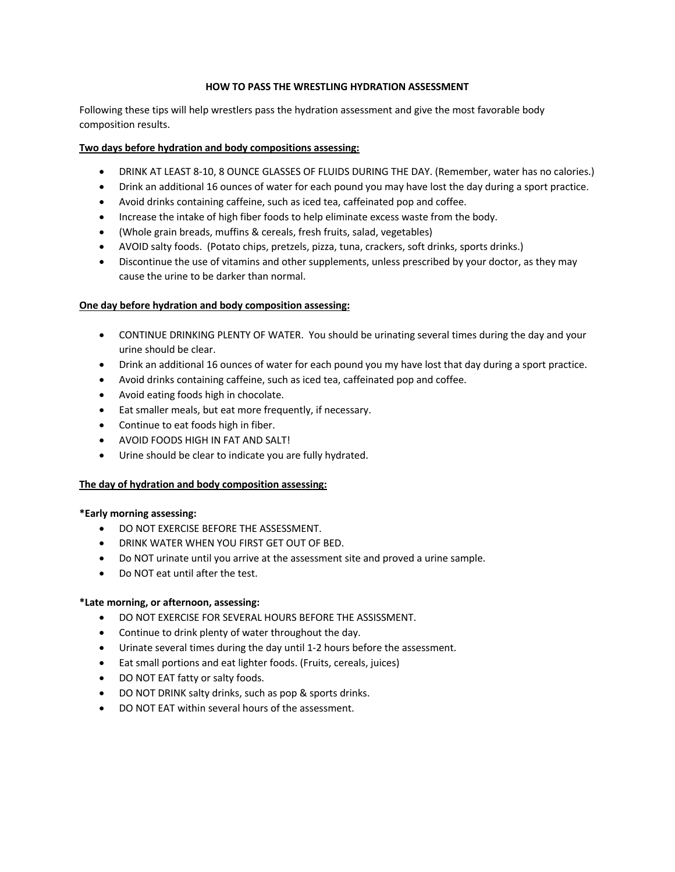## **HOW TO PASS THE WRESTLING HYDRATION ASSESSMENT**

Following these tips will help wrestlers pass the hydration assessment and give the most favorable body composition results.

### **Two days before hydration and body compositions assessing:**

- DRINK AT LEAST 8-10, 8 OUNCE GLASSES OF FLUIDS DURING THE DAY. (Remember, water has no calories.)
- Drink an additional 16 ounces of water for each pound you may have lost the day during a sport practice.
- Avoid drinks containing caffeine, such as iced tea, caffeinated pop and coffee.
- Increase the intake of high fiber foods to help eliminate excess waste from the body.
- (Whole grain breads, muffins & cereals, fresh fruits, salad, vegetables)
- AVOID salty foods. (Potato chips, pretzels, pizza, tuna, crackers, soft drinks, sports drinks.)
- Discontinue the use of vitamins and other supplements, unless prescribed by your doctor, as they may cause the urine to be darker than normal.

#### **One day before hydration and body composition assessing:**

- CONTINUE DRINKING PLENTY OF WATER. You should be urinating several times during the day and your urine should be clear.
- Drink an additional 16 ounces of water for each pound you my have lost that day during a sport practice.
- Avoid drinks containing caffeine, such as iced tea, caffeinated pop and coffee.
- Avoid eating foods high in chocolate.
- Eat smaller meals, but eat more frequently, if necessary.
- Continue to eat foods high in fiber.
- AVOID FOODS HIGH IN FAT AND SALT!
- Urine should be clear to indicate you are fully hydrated.

## **The day of hydration and body composition assessing:**

## **\*Early morning assessing:**

- DO NOT EXERCISE BEFORE THE ASSESSMENT.
- DRINK WATER WHEN YOU FIRST GET OUT OF BED.
- Do NOT urinate until you arrive at the assessment site and proved a urine sample.
- Do NOT eat until after the test.

## **\*Late morning, or afternoon, assessing:**

- DO NOT EXERCISE FOR SEVERAL HOURS BEFORE THE ASSISSMENT.
- Continue to drink plenty of water throughout the day.
- Urinate several times during the day until 1-2 hours before the assessment.
- Eat small portions and eat lighter foods. (Fruits, cereals, juices)
- DO NOT EAT fatty or salty foods.
- DO NOT DRINK salty drinks, such as pop & sports drinks.
- DO NOT EAT within several hours of the assessment.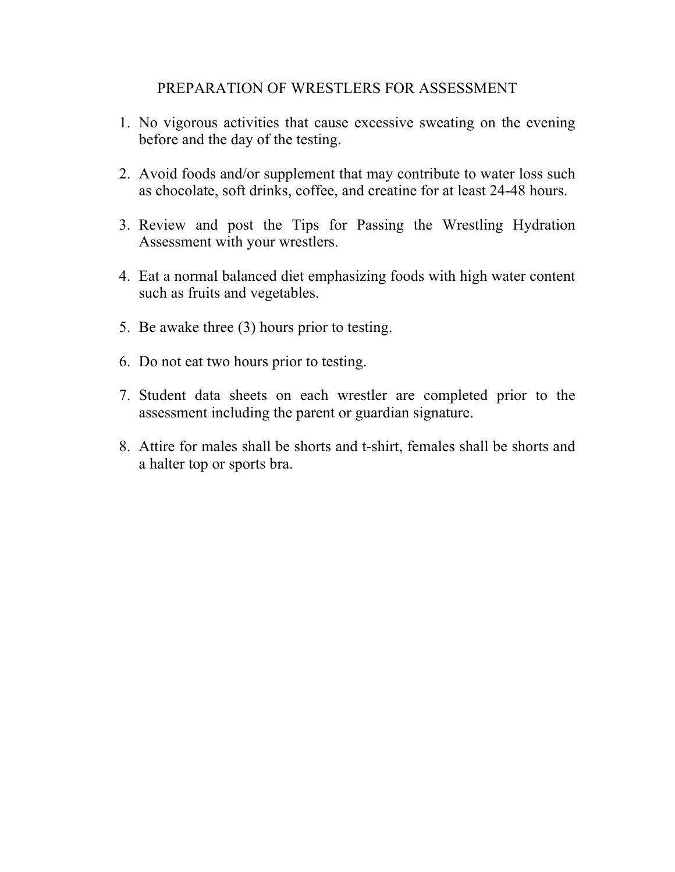# PREPARATION OF WRESTLERS FOR ASSESSMENT

- 1. No vigorous activities that cause excessive sweating on the evening before and the day of the testing.
- 2. Avoid foods and/or supplement that may contribute to water loss such as chocolate, soft drinks, coffee, and creatine for at least 24-48 hours.
- 3. Review and post the Tips for Passing the Wrestling Hydration Assessment with your wrestlers.
- 4. Eat a normal balanced diet emphasizing foods with high water content such as fruits and vegetables.
- 5. Be awake three (3) hours prior to testing.
- 6. Do not eat two hours prior to testing.
- 7. Student data sheets on each wrestler are completed prior to the assessment including the parent or guardian signature.
- 8. Attire for males shall be shorts and t-shirt, females shall be shorts and a halter top or sports bra.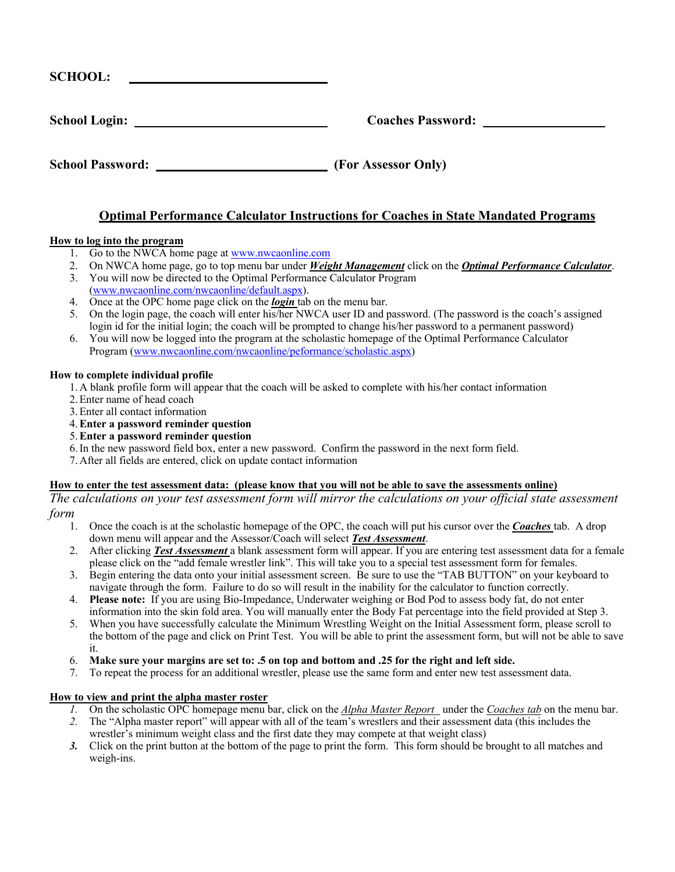| <b>SCHOOL:</b>          |                          |
|-------------------------|--------------------------|
| <b>School Login:</b>    | <b>Coaches Password:</b> |
| <b>School Password:</b> | (For Assessor Only)      |

# **Optimal Performance Calculator Instructions for Coaches in State Mandated Programs**

## **How to log into the program**

- 1. Go to the NWCA home page at www.nwcaonline.com
- 2. On NWCA home page, go to top menu bar under *Weight Management* click on the *Optimal Performance Calculator*.
- 3. You will now be directed to the Optimal Performance Calculator Program (www.nwcaonline.com/nwcaonline/default.aspx).
- 4. Once at the OPC home page click on the *login* tab on the menu bar.
- 5. On the login page, the coach will enter his/her NWCA user ID and password. (The password is the coach's assigned login id for the initial login; the coach will be prompted to change his/her password to a permanent password)
- 6. You will now be logged into the program at the scholastic homepage of the Optimal Performance Calculator Program (www.nwcaonline.com/nwcaonline/peformance/scholastic.aspx)

## **How to complete individual profile**

- 1. A blank profile form will appear that the coach will be asked to complete with his/her contact information
- 2.Enter name of head coach
- 3.Enter all contact information
- 4.**Enter a password reminder question**
- 5.**Enter a password reminder question**
- 6.In the new password field box, enter a new password. Confirm the password in the next form field.
- 7. After all fields are entered, click on update contact information

## **How to enter the test assessment data: (please know that you will not be able to save the assessments online)**

*The calculations on your test assessment form will mirror the calculations on your official state assessment form*

- 1. Once the coach is at the scholastic homepage of the OPC, the coach will put his cursor over the *Coaches* tab. A drop down menu will appear and the Assessor/Coach will select *Test Assessment*.
- 2. After clicking *Test Assessment* a blank assessment form will appear. If you are entering test assessment data for a female please click on the "add female wrestler link". This will take you to a special test assessment form for females.
- 3. Begin entering the data onto your initial assessment screen. Be sure to use the "TAB BUTTON" on your keyboard to navigate through the form. Failure to do so will result in the inability for the calculator to function correctly.
- 4. **Please note:** If you are using Bio-Impedance, Underwater weighing or Bod Pod to assess body fat, do not enter information into the skin fold area. You will manually enter the Body Fat percentage into the field provided at Step 3.
- 5. When you have successfully calculate the Minimum Wrestling Weight on the Initial Assessment form, please scroll to the bottom of the page and click on Print Test. You will be able to print the assessment form, but will not be able to save it.
- 6. **Make sure your margins are set to: .5 on top and bottom and .25 for the right and left side.**
- 7. To repeat the process for an additional wrestler, please use the same form and enter new test assessment data.

## **How to view and print the alpha master roster**

- *1.* On the scholastic OPC homepage menu bar, click on the *Alpha Master Report* under the *Coaches tab* on the menu bar.
- *2.* The "Alpha master report" will appear with all of the team's wrestlers and their assessment data (this includes the wrestler's minimum weight class and the first date they may compete at that weight class)
- *3.* Click on the print button at the bottom of the page to print the form. This form should be brought to all matches and weigh-ins.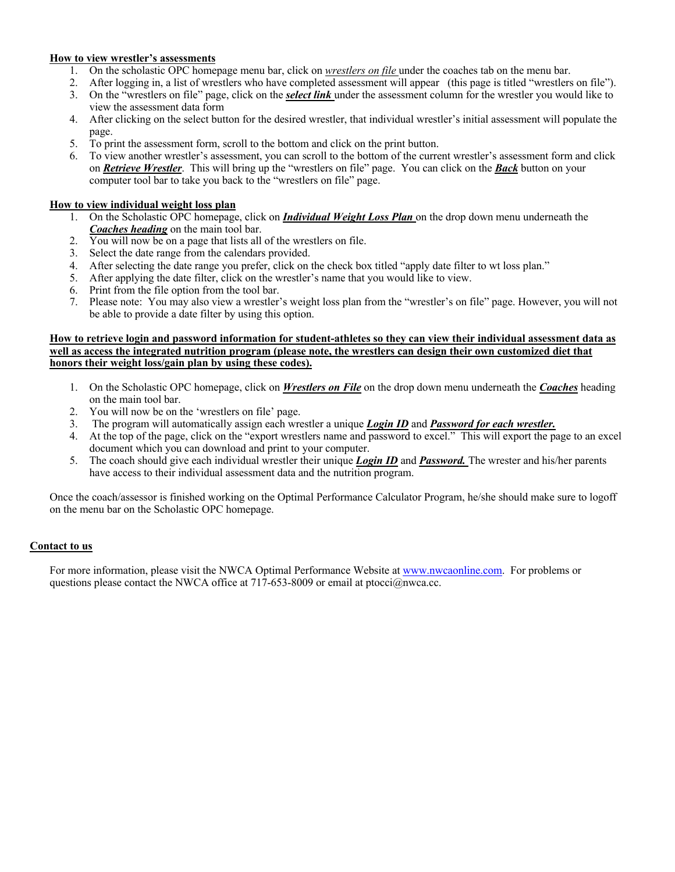## **How to view wrestler's assessments**

- 1. On the scholastic OPC homepage menu bar, click on *wrestlers on file* under the coaches tab on the menu bar.
- 2. After logging in, a list of wrestlers who have completed assessment will appear (this page is titled "wrestlers on file").
- 3. On the "wrestlers on file" page, click on the *select link* under the assessment column for the wrestler you would like to view the assessment data form
- 4. After clicking on the select button for the desired wrestler, that individual wrestler's initial assessment will populate the page.
- 5. To print the assessment form, scroll to the bottom and click on the print button.
- 6. To view another wrestler's assessment, you can scroll to the bottom of the current wrestler's assessment form and click on *Retrieve Wrestler*. This will bring up the "wrestlers on file" page. You can click on the *Back* button on your computer tool bar to take you back to the "wrestlers on file" page.

## **How to view individual weight loss plan**

- 1. On the Scholastic OPC homepage, click on *Individual Weight Loss Plan* on the drop down menu underneath the *Coaches heading* on the main tool bar.
- 2. You will now be on a page that lists all of the wrestlers on file.
- 3. Select the date range from the calendars provided.
- 4. After selecting the date range you prefer, click on the check box titled "apply date filter to wt loss plan."
- 5. After applying the date filter, click on the wrestler's name that you would like to view.
- 6. Print from the file option from the tool bar.
- 7. Please note: You may also view a wrestler's weight loss plan from the "wrestler's on file" page. However, you will not be able to provide a date filter by using this option.

#### **How to retrieve login and password information for student-athletes so they can view their individual assessment data as well as access the integrated nutrition program (please note, the wrestlers can design their own customized diet that honors their weight loss/gain plan by using these codes).**

- 1. On the Scholastic OPC homepage, click on *Wrestlers on File* on the drop down menu underneath the *Coaches* heading on the main tool bar.
- 2. You will now be on the 'wrestlers on file' page.
- 3. The program will automatically assign each wrestler a unique *Login ID* and *Password for each wrestler.*
- 4. At the top of the page, click on the "export wrestlers name and password to excel." This will export the page to an excel document which you can download and print to your computer.
- 5. The coach should give each individual wrestler their unique *Login ID* and *Password.* The wrester and his/her parents have access to their individual assessment data and the nutrition program.

Once the coach/assessor is finished working on the Optimal Performance Calculator Program, he/she should make sure to logoff on the menu bar on the Scholastic OPC homepage.

## **Contact to us**

For more information, please visit the NWCA Optimal Performance Website at www.nwcaonline.com. For problems or questions please contact the NWCA office at 717-653-8009 or email at ptocci $@n$ nwca.cc.